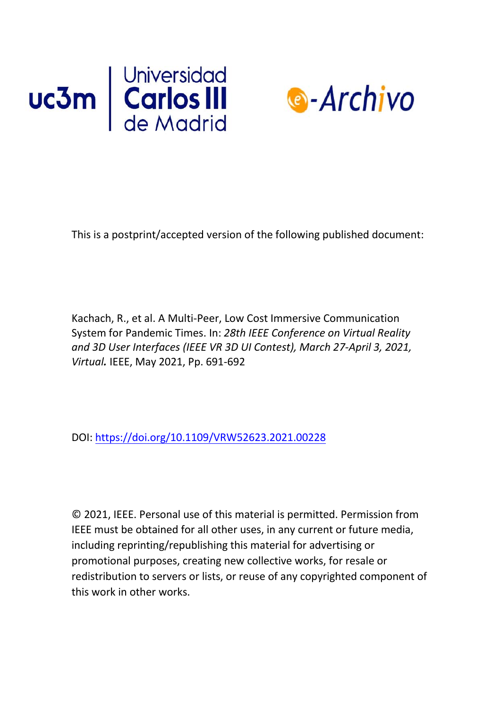



This is a postprint/accepted version of the following published document:

Kachach, R., et al. A Multi-Peer, Low Cost Immersive Communication System for Pandemic Times. In: *28th IEEE Conference on Virtual Reality and 3D User Interfaces (IEEE VR 3D UI Contest), March 27-April 3, 2021, Virtual.* IEEE, May 2021, Pp. 691-692

DOI:<https://doi.org/10.1109/VRW52623.2021.00228>

© 2021, IEEE. Personal use of this material is permitted. Permission from IEEE must be obtained for all other uses, in any current or future media, including reprinting/republishing this material for advertising or promotional purposes, creating new collective works, for resale or redistribution to servers or lists, or reuse of any copyrighted component of this work in other works.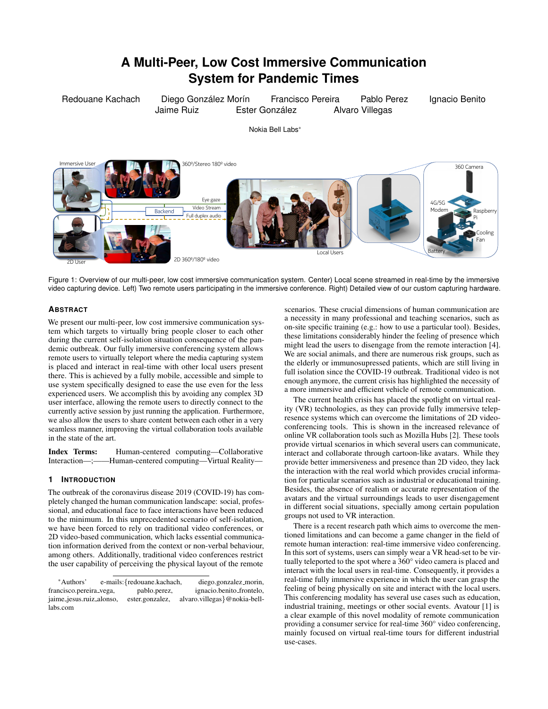# **A Multi-Peer, Low Cost Immersive Communication System for Pandemic Times**

Redouane Kachach Diego González Morín Francisco Pereira Pablo Perez Ignacio Benito Jaime Ruiz **Ester González** Alvaro Villegas Nokia Bell Labs\* 360º/Stereo 180º video 2D 360º/180º video Backend Full duplex audio Eye gaze Video Stream 360 Camera 4G/5G Modem Battery Raspberry Pi `ooling Fan **Immersive Use** 2D User Local Users

Figure 1: Overview of our multi-peer, low cost immersive communication system. Center) Local scene streamed in real-time by the immersive video capturing device. Left) Two remote users participating in the immersive conference. Right) Detailed view of our custom capturing hardware.

# **ABSTRACT**

We present our multi-peer, low cost immersive communication system which targets to virtually bring people closer to each other during the current self-isolation situation consequence of the pandemic outbreak. Our fully immersive conferencing system allows remote users to virtually teleport where the media capturing system is placed and interact in real-time with other local users present there. This is achieved by a fully mobile, accessible and simple to use system specifically designed to ease the use even for the less experienced users. We accomplish this by avoiding any complex 3D user interface, allowing the remote users to directly connect to the currently active session by just running the application. Furthermore, we also allow the users to share content between each other in a very seamless manner, improving the virtual collaboration tools available in the state of the art.

Index Terms: Human-centered computing—Collaborative Interaction—;——Human-centered computing—Virtual Reality—

## **1 INTRODUCTION**

The outbreak of the coronavirus disease 2019 (COVID-19) has completely changed the human communication landscape: social, professional, and educational face to face interactions have been reduced to the minimum. In this unprecedented scenario of self-isolation, we have been forced to rely on traditional video conferences, or 2D video-based communication, which lacks essential communication information derived from the context or non-verbal behaviour, among others. Additionally, traditional video conferences restrict the user capability of perceiving the physical layout of the remote

\*Authors' e-mails:{redouane.kachach, diego.gonzalez morin, ignacio.benito\_frontelo, jaime jesus.ruiz alonso, ester.gonzalez, alvaro.villegas}@nokia-belllabs.com

scenarios. These crucial dimensions of human communication are a necessity in many professional and teaching scenarios, such as on-site specific training (e.g.: how to use a particular tool). Besides, these limitations considerably hinder the feeling of presence which might lead the users to disengage from the remote interaction [4]. We are social animals, and there are numerous risk groups, such as the elderly or immunosupressed patients, which are still living in full isolation since the COVID-19 outbreak. Traditional video is not enough anymore, the current crisis has highlighted the necessity of a more immersive and efficient vehicle of remote communication.

The current health crisis has placed the spotlight on virtual reality (VR) technologies, as they can provide fully immersive telepresence systems which can overcome the limitations of 2D videoconferencing tools. This is shown in the increased relevance of online VR collaboration tools such as Mozilla Hubs [2]. These tools provide virtual scenarios in which several users can communicate, interact and collaborate through cartoon-like avatars. While they provide better immersiveness and presence than 2D video, they lack the interaction with the real world which provides crucial information for particular scenarios such as industrial or educational training. Besides, the absence of realism or accurate representation of the avatars and the virtual surroundings leads to user disengagement in different social situations, specially among certain population groups not used to VR interaction.

There is a recent research path which aims to overcome the mentioned limitations and can become a game changer in the field of remote human interaction: real-time immersive video conferencing. In this sort of systems, users can simply wear a VR head-set to be virtually teleported to the spot where a 360° video camera is placed and interact with the local users in real-time. Consequently, it provides a real-time fully immersive experience in which the user can grasp the feeling of being physically on site and interact with the local users. This conferencing modality has several use cases such as education, industrial training, meetings or other social events. Avatour [1] is a clear example of this novel modality of remote communication providing a consumer service for real-time 360° video conferencing, mainly focused on virtual real-time tours for different industrial use-cases.